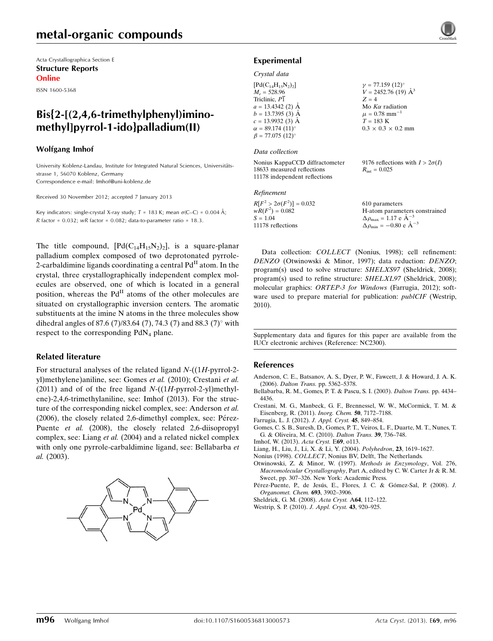Acta Crystallographica Section E Structure Reports Online

ISSN 1600-5368

# Bis{2-[(2,4,6-trimethylphenyl)iminomethyl]pyrrol-1-ido}palladium(II)

#### Wolfgang Imhof

University Koblenz-Landau, Institute for Integrated Natural Sciences, Universitätsstrasse 1, 56070 Koblenz, Germany Correspondence e-mail: [Imhof@uni-koblenz.de](https://scripts.iucr.org/cgi-bin/cr.cgi?rm=pdfbb&cnor=nc2300&bbid=BB12)

Received 30 November 2012; accepted 7 January 2013

Key indicators: single-crystal X-ray study;  $T = 183$  K; mean  $\sigma$ (C–C) = 0.004 Å; R factor =  $0.032$ ; wR factor =  $0.082$ ; data-to-parameter ratio = 18.3.

The title compound,  $[Pd(C_{14}H_{15}N_2)_2]$ , is a square-planar palladium complex composed of two deprotonated pyrrole-2-carbaldimine ligands coordinating a central  $Pd<sup>H</sup>$  atom. In the crystal, three crystallographically independent complex molecules are observed, one of which is located in a general position, whereas the  $Pd<sup>H</sup>$  atoms of the other molecules are situated on crystallographic inversion centers. The aromatic substituents at the imine N atoms in the three molecules show dihedral angles of 87.6 (7)/83.64 (7), 74.3 (7) and 88.3 (7)° with respect to the corresponding  $PdN<sub>4</sub>$  plane.

## Related literature

For structural analyses of the related ligand  $N-(1H-<sub>pyrrol-2</sub>$ yl)methylene)aniline, see: Gomes et al. (2010); Crestani et al. (2011) and of of the free ligand  $N-(1H$ -pyrrol-2-yl)methylene)-2,4,6-trimethylaniline, see: Imhof (2013). For the structure of the corresponding nickel complex, see: Anderson et al.  $(2006)$ , the closely related 2,6-dimethyl complex, see: Pérez-Puente et al. (2008), the closely related 2,6-diisopropyl complex, see: Liang et al. (2004) and a related nickel complex with only one pyrrole-carbaldimine ligand, see: Bellabarba et al. (2003).



## Experimental

# Crystal data

| $\gamma$ = 77.159 (12)°        |
|--------------------------------|
| $V = 2452.76(19)$ $\AA^3$      |
| $Z = 4$                        |
| Mo $K\alpha$ radiation         |
| $\mu = 0.78$ mm <sup>-1</sup>  |
| $T = 183 \text{ K}$            |
| $0.3 \times 0.3 \times 0.2$ mm |
|                                |
|                                |

#### Data collection

Nonius KappaCCD diffractometer 18633 measured reflections 11178 independent reflections

#### Refinement

| $R[F^2 > 2\sigma(F^2)] = 0.032$ | 610 parameters                                               |
|---------------------------------|--------------------------------------------------------------|
| $wR(F^2) = 0.082$               | H-atom parameters constrained                                |
| $S = 1.04$                      | $\Delta \rho_{\text{max}} = 1.17 \text{ e } \text{\AA}^{-3}$ |
| 11178 reflections               | $\Delta \rho_{\text{min}} = -0.80 \text{ e A}^{-3}$          |

9176 reflections with  $I > 2\sigma(I)$ 

 $R_{\text{int}} = 0.025$ 

Data collection: COLLECT (Nonius, 1998); cell refinement: DENZO (Otwinowski & Minor, 1997); data reduction: DENZO; program(s) used to solve structure: SHELXS97 (Sheldrick, 2008); program(s) used to refine structure: SHELXL97 (Sheldrick, 2008); molecular graphics: ORTEP-3 for Windows (Farrugia, 2012); software used to prepare material for publication: *publCIF* (Westrip, 2010).

Supplementary data and figures for this paper are available from the IUCr electronic archives (Reference: NC2300).

#### References

- [Anderson, C. E., Batsanov, A. S., Dyer, P. W., Fawcett, J. & Howard, J. A. K.](https://scripts.iucr.org/cgi-bin/cr.cgi?rm=pdfbb&cnor=nc2300&bbid=BB1) (2006). Dalton Trans. [pp. 5362–5378.](https://scripts.iucr.org/cgi-bin/cr.cgi?rm=pdfbb&cnor=nc2300&bbid=BB1)
- [Bellabarba, R. M., Gomes, P. T. & Pascu, S. I. \(2003\).](https://scripts.iucr.org/cgi-bin/cr.cgi?rm=pdfbb&cnor=nc2300&bbid=BB2) Dalton Trans. pp. 4434– [4436.](https://scripts.iucr.org/cgi-bin/cr.cgi?rm=pdfbb&cnor=nc2300&bbid=BB2)
- [Crestani, M. G., Manbeck, G. F., Brennessel, W. W., McCormick, T. M. &](https://scripts.iucr.org/cgi-bin/cr.cgi?rm=pdfbb&cnor=nc2300&bbid=BB3) [Eisenberg, R. \(2011\).](https://scripts.iucr.org/cgi-bin/cr.cgi?rm=pdfbb&cnor=nc2300&bbid=BB3) Inorg. Chem. 50, 7172–7188.
- [Farrugia, L. J. \(2012\).](https://scripts.iucr.org/cgi-bin/cr.cgi?rm=pdfbb&cnor=nc2300&bbid=BB4) J. Appl. Cryst. 45, 849–854.
- [Gomes, C. S. B., Suresh, D., Gomes, P. T., Veiros, L. F., Duarte, M. T., Nunes, T.](https://scripts.iucr.org/cgi-bin/cr.cgi?rm=pdfbb&cnor=nc2300&bbid=BB5) [G. & Oliveira, M. C. \(2010\).](https://scripts.iucr.org/cgi-bin/cr.cgi?rm=pdfbb&cnor=nc2300&bbid=BB5) Dalton Trans. 39, 736–748.
- [Imhof, W. \(2013\).](https://scripts.iucr.org/cgi-bin/cr.cgi?rm=pdfbb&cnor=nc2300&bbid=BB6) Acta Cryst. E69, o113.
- [Liang, H., Liu, J., Li, X. & Li, Y. \(2004\).](https://scripts.iucr.org/cgi-bin/cr.cgi?rm=pdfbb&cnor=nc2300&bbid=BB7) Polyhedron, 23, 1619–1627.
- Nonius (1998). COLLECT[, Nonius BV, Delft, The Netherlands.](https://scripts.iucr.org/cgi-bin/cr.cgi?rm=pdfbb&cnor=nc2300&bbid=BB8)
- [Otwinowski, Z. & Minor, W. \(1997\).](https://scripts.iucr.org/cgi-bin/cr.cgi?rm=pdfbb&cnor=nc2300&bbid=BB9) Methods in Enzymology, Vol. 276, Macromolecular Crystallography[, Part A, edited by C. W. Carter Jr & R. M.](https://scripts.iucr.org/cgi-bin/cr.cgi?rm=pdfbb&cnor=nc2300&bbid=BB9) [Sweet, pp. 307–326. New York: Academic Press.](https://scripts.iucr.org/cgi-bin/cr.cgi?rm=pdfbb&cnor=nc2300&bbid=BB9)
- Pérez-Puente, P., de Jesús, E., Flores, J. C. & Gómez-Sal, P. (2008). J. [Organomet. Chem.](https://scripts.iucr.org/cgi-bin/cr.cgi?rm=pdfbb&cnor=nc2300&bbid=BB10) 693, 3902–3906.
- [Sheldrick, G. M. \(2008\).](https://scripts.iucr.org/cgi-bin/cr.cgi?rm=pdfbb&cnor=nc2300&bbid=BB11) Acta Cryst. A64, 112–122.
- [Westrip, S. P. \(2010\).](https://scripts.iucr.org/cgi-bin/cr.cgi?rm=pdfbb&cnor=nc2300&bbid=BB12) J. Appl. Cryst. 43, 920–925.

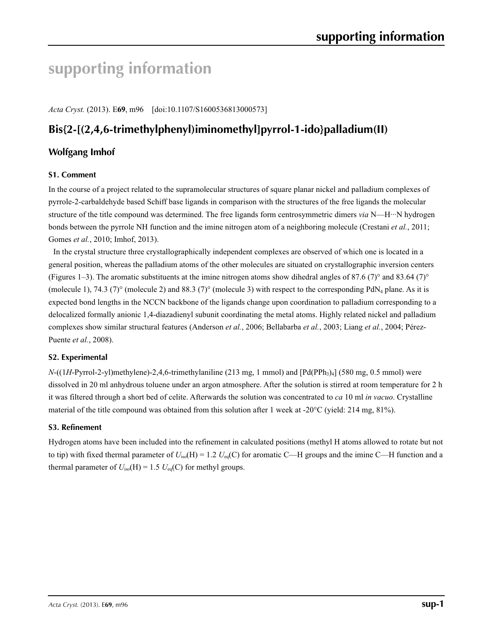# **supporting information**

*Acta Cryst.* (2013). E**69**, m96 [doi:10.1107/S1600536813000573]

# **Bis{2-[(2,4,6-trimethylphenyl)iminomethyl]pyrrol-1-ido}palladium(II)**

# **Wolfgang Imhof**

# **S1. Comment**

In the course of a project related to the supramolecular structures of square planar nickel and palladium complexes of pyrrole-2-carbaldehyde based Schiff base ligands in comparison with the structures of the free ligands the molecular structure of the title compound was determined. The free ligands form centrosymmetric dimers *via* N—H···N hydrogen bonds between the pyrrole NH function and the imine nitrogen atom of a neighboring molecule (Crestani *et al.*, 2011; Gomes *et al.*, 2010; Imhof, 2013).

In the crystal structure three crystallographically independent complexes are observed of which one is located in a general position, whereas the palladium atoms of the other molecules are situated on crystallographic inversion centers (Figures 1–3). The aromatic substituents at the imine nitrogen atoms show dihedral angles of 87.6 (7)° and 83.64 (7)° (molecule 1), 74.3 (7)° (molecule 2) and 88.3 (7)° (molecule 3) with respect to the corresponding PdN<sub>4</sub> plane. As it is expected bond lengths in the NCCN backbone of the ligands change upon coordination to palladium corresponding to a delocalized formally anionic 1,4-diazadienyl subunit coordinating the metal atoms. Highly related nickel and palladium complexes show similar structural features (Anderson *et al.*, 2006; Bellabarba *et al.*, 2003; Liang *et al.*, 2004; Pérez-Puente *et al.*, 2008).

## **S2. Experimental**

 $N-(1H-Pyrrol-2-yl)$ methylene)-2,4,6-trimethylaniline (213 mg, 1 mmol) and  $[Pd(PPh<sub>3</sub>)<sub>4</sub>]$  (580 mg, 0.5 mmol) were dissolved in 20 ml anhydrous toluene under an argon atmosphere. After the solution is stirred at room temperature for 2 h it was filtered through a short bed of celite. Afterwards the solution was concentrated to *ca* 10 ml *in vacuo*. Crystalline material of the title compound was obtained from this solution after 1 week at -20°C (yield: 214 mg, 81%).

## **S3. Refinement**

Hydrogen atoms have been included into the refinement in calculated positions (methyl H atoms allowed to rotate but not to tip) with fixed thermal parameter of  $U_{iso}(H) = 1.2 U_{eq}(C)$  for aromatic C—H groups and the imine C—H function and a thermal parameter of  $U_{iso}(H) = 1.5$   $U_{eq}(C)$  for methyl groups.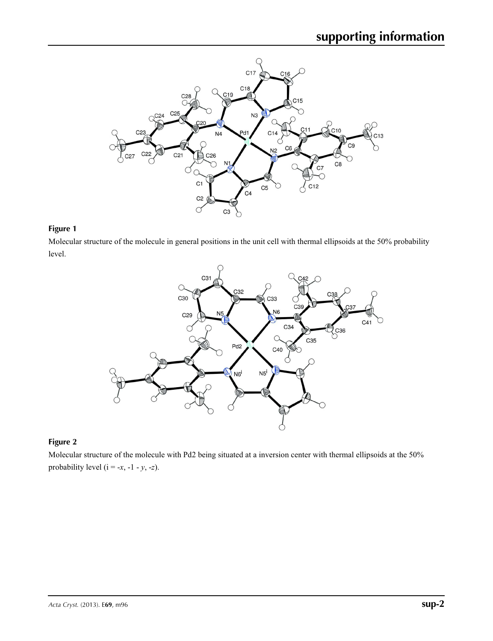

# **Figure 1**

Molecular structure of the molecule in general positions in the unit cell with thermal ellipsoids at the 50% probability level.



# **Figure 2**

Molecular structure of the molecule with Pd2 being situated at a inversion center with thermal ellipsoids at the 50% probability level ( $i = -x, -1 - y, -z$ ).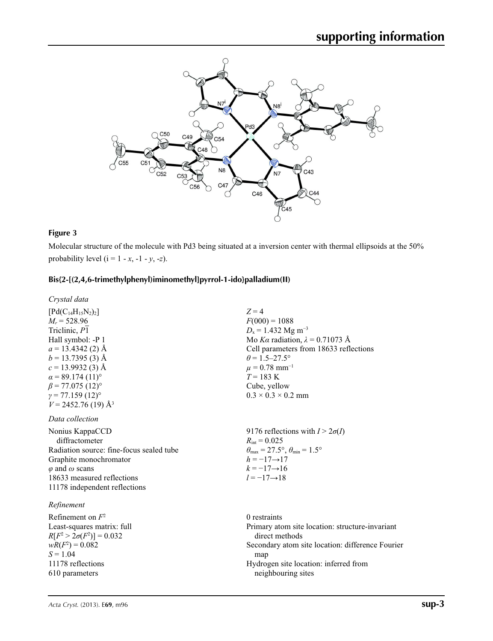

# **Figure 3**

 $S = 1.04$ 

11178 reflections 610 parameters

Molecular structure of the molecule with Pd3 being situated at a inversion center with thermal ellipsoids at the 50% probability level  $(i = 1 - x, -1 - y, -z)$ .

## **Bis{2-[(2,4,6-trimethylphenyl)iminomethyl]pyrrol-1-ido}palladium(II)**

| Crystal data                                                                                                                                                                                                                                                                                     |                                                                                                                                                                                                                                                                                      |
|--------------------------------------------------------------------------------------------------------------------------------------------------------------------------------------------------------------------------------------------------------------------------------------------------|--------------------------------------------------------------------------------------------------------------------------------------------------------------------------------------------------------------------------------------------------------------------------------------|
| $[Pd(C_{14}H_{15}N_2)_2]$<br>$M_r = 528.96$<br>Triclinic, P1<br>Hall symbol: -P 1<br>$a = 13.4342(2)$ Å<br>$b = 13.7395$ (3) Å<br>$c = 13.9932(3)$ Å<br>$\alpha$ = 89.174 (11) <sup>o</sup><br>$\beta$ = 77.075 (12) <sup>o</sup><br>$\gamma = 77.159(12)$ °<br>$V = 2452.76(19)$ Å <sup>3</sup> | $Z = 4$<br>$F(000) = 1088$<br>$D_x = 1.432$ Mg m <sup>-3</sup><br>Mo Ka radiation, $\lambda = 0.71073$ Å<br>Cell parameters from 18633 reflections<br>$\theta$ = 1.5–27.5°<br>$\mu = 0.78$ mm <sup>-1</sup><br>$T = 183 \text{ K}$<br>Cube, yellow<br>$0.3 \times 0.3 \times 0.2$ mm |
| Data collection                                                                                                                                                                                                                                                                                  |                                                                                                                                                                                                                                                                                      |
| Nonius KappaCCD<br>diffractometer<br>Radiation source: fine-focus sealed tube<br>Graphite monochromator<br>$\varphi$ and $\omega$ scans<br>18633 measured reflections<br>11178 independent reflections                                                                                           | 9176 reflections with $I > 2\sigma(I)$<br>$R_{\rm int} = 0.025$<br>$\theta_{\text{max}} = 27.5^{\circ}, \theta_{\text{min}} = 1.5^{\circ}$<br>$h = -17 \rightarrow 17$<br>$k = -17 \rightarrow 16$<br>$l = -17 \rightarrow 18$                                                       |
| Refinement                                                                                                                                                                                                                                                                                       |                                                                                                                                                                                                                                                                                      |
| Refinement on $F^2$<br>Least-squares matrix: full<br>$R[F^2 > 2\sigma(F^2)] = 0.032$<br>$wR(F^2) = 0.082$                                                                                                                                                                                        | 0 restraints<br>Primary atom site location: structure-invariant<br>direct methods<br>Secondary atom site location: difference Fourier                                                                                                                                                |

map

Hydrogen site location: inferred from

neighbouring sites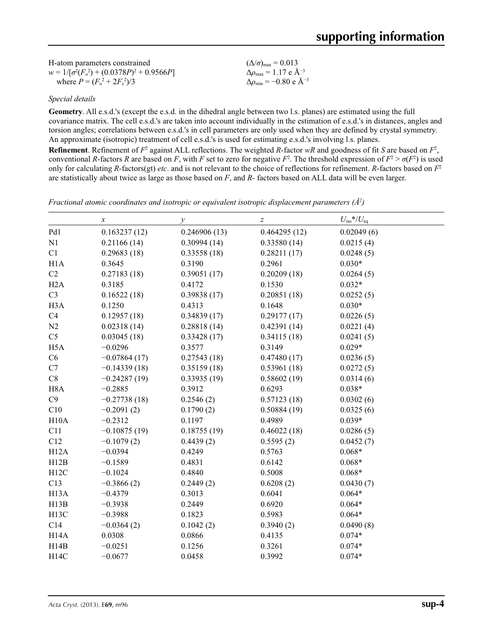| H-atom parameters constrained                     | $(\Delta/\sigma)_{\text{max}} = 0.013$             |
|---------------------------------------------------|----------------------------------------------------|
| $w = 1/[\sigma^2(F_0^2) + (0.0378P)^2 + 0.9566P]$ | $\Delta \rho_{\text{max}} = 1.17 \text{ e A}^{-3}$ |
| where $P = (F_0^2 + 2F_c^2)/3$                    | $\Delta\rho_{\rm min} = -0.80 \text{ e A}^{-3}$    |

*Special details*

**Geometry**. All e.s.d.'s (except the e.s.d. in the dihedral angle between two l.s. planes) are estimated using the full covariance matrix. The cell e.s.d.'s are taken into account individually in the estimation of e.s.d.'s in distances, angles and torsion angles; correlations between e.s.d.'s in cell parameters are only used when they are defined by crystal symmetry. An approximate (isotropic) treatment of cell e.s.d.'s is used for estimating e.s.d.'s involving l.s. planes. **Refinement**. Refinement of  $F^2$  against ALL reflections. The weighted *R*-factor  $wR$  and goodness of fit *S* are based on  $F^2$ ,

conventional *R*-factors *R* are based on *F*, with *F* set to zero for negative  $F^2$ . The threshold expression of  $F^2 > \sigma(F^2)$  is used only for calculating *R*-factors(gt) *etc*. and is not relevant to the choice of reflections for refinement. *R*-factors based on *F*<sup>2</sup> are statistically about twice as large as those based on *F*, and *R*- factors based on ALL data will be even larger.

*Fractional atomic coordinates and isotropic or equivalent isotropic displacement parameters (Å2 )*

|                   | $\boldsymbol{x}$ | $\mathcal{Y}$ | Z            | $U_{\rm iso}*/U_{\rm eq}$ |  |
|-------------------|------------------|---------------|--------------|---------------------------|--|
| Pd1               | 0.163237(12)     | 0.246906(13)  | 0.464295(12) | 0.02049(6)                |  |
| N1                | 0.21166(14)      | 0.30994(14)   | 0.33580(14)  | 0.0215(4)                 |  |
| C1                | 0.29683(18)      | 0.33558(18)   | 0.28211(17)  | 0.0248(5)                 |  |
| H1A               | 0.3645           | 0.3190        | 0.2961       | $0.030*$                  |  |
| C2                | 0.27183(18)      | 0.39051(17)   | 0.20209(18)  | 0.0264(5)                 |  |
| H2A               | 0.3185           | 0.4172        | 0.1530       | $0.032*$                  |  |
| C <sub>3</sub>    | 0.16522(18)      | 0.39838(17)   | 0.20851(18)  | 0.0252(5)                 |  |
| H <sub>3</sub> A  | 0.1250           | 0.4313        | 0.1648       | $0.030*$                  |  |
| C4                | 0.12957(18)      | 0.34839(17)   | 0.29177(17)  | 0.0226(5)                 |  |
| N2                | 0.02318(14)      | 0.28818(14)   | 0.42391(14)  | 0.0221(4)                 |  |
| C <sub>5</sub>    | 0.03045(18)      | 0.33428(17)   | 0.34115(18)  | 0.0241(5)                 |  |
| H <sub>5</sub> A  | $-0.0296$        | 0.3577        | 0.3149       | $0.029*$                  |  |
| C6                | $-0.07864(17)$   | 0.27543(18)   | 0.47480(17)  | 0.0236(5)                 |  |
| C7                | $-0.14339(18)$   | 0.35159(18)   | 0.53961(18)  | 0.0272(5)                 |  |
| C8                | $-0.24287(19)$   | 0.33935(19)   | 0.58602(19)  | 0.0314(6)                 |  |
| H <sub>8</sub> A  | $-0.2885$        | 0.3912        | 0.6293       | $0.038*$                  |  |
| C9                | $-0.27738(18)$   | 0.2546(2)     | 0.57123(18)  | 0.0302(6)                 |  |
| C10               | $-0.2091(2)$     | 0.1790(2)     | 0.50884(19)  | 0.0325(6)                 |  |
| H10A              | $-0.2312$        | 0.1197        | 0.4989       | $0.039*$                  |  |
| C11               | $-0.10875(19)$   | 0.18755(19)   | 0.46022(18)  | 0.0286(5)                 |  |
| C12               | $-0.1079(2)$     | 0.4439(2)     | 0.5595(2)    | 0.0452(7)                 |  |
| H12A              | $-0.0394$        | 0.4249        | 0.5763       | $0.068*$                  |  |
| H12B              | $-0.1589$        | 0.4831        | 0.6142       | $0.068*$                  |  |
| H12C              | $-0.1024$        | 0.4840        | 0.5008       | $0.068*$                  |  |
| C13               | $-0.3866(2)$     | 0.2449(2)     | 0.6208(2)    | 0.0430(7)                 |  |
| H <sub>13</sub> A | $-0.4379$        | 0.3013        | 0.6041       | $0.064*$                  |  |
| H13B              | $-0.3938$        | 0.2449        | 0.6920       | $0.064*$                  |  |
| H <sub>13</sub> C | $-0.3988$        | 0.1823        | 0.5983       | $0.064*$                  |  |
| C14               | $-0.0364(2)$     | 0.1042(2)     | 0.3940(2)    | 0.0490(8)                 |  |
| H14A              | 0.0308           | 0.0866        | 0.4135       | $0.074*$                  |  |
| H14B              | $-0.0251$        | 0.1256        | 0.3261       | $0.074*$                  |  |
| H14C              | $-0.0677$        | 0.0458        | 0.3992       | $0.074*$                  |  |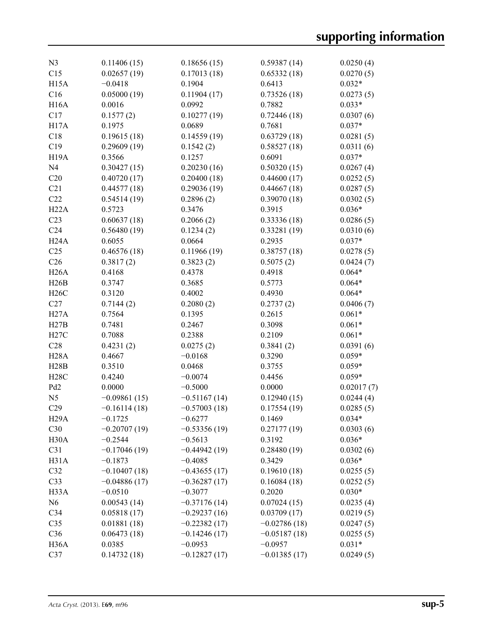| N <sub>3</sub>    |                          |                       |                       |                       |
|-------------------|--------------------------|-----------------------|-----------------------|-----------------------|
|                   | 0.11406(15)              | 0.18656(15)           | 0.59387(14)           | 0.0250(4)             |
| C15<br>H15A       | 0.02657(19)<br>$-0.0418$ | 0.17013(18)<br>0.1904 | 0.65332(18)<br>0.6413 | 0.0270(5)<br>$0.032*$ |
| C16               | 0.05000(19)              | 0.11904(17)           | 0.73526(18)           | 0.0273(5)             |
| <b>H16A</b>       | 0.0016                   | 0.0992                | 0.7882                | $0.033*$              |
|                   |                          |                       |                       | 0.0307(6)             |
| C17               | 0.1577(2)<br>0.1975      | 0.10277(19)<br>0.0689 | 0.72446(18)<br>0.7681 |                       |
| H17A              |                          |                       |                       | $0.037*$              |
| C18               | 0.19615(18)              | 0.14559(19)           | 0.63729(18)           | 0.0281(5)             |
| C19               | 0.29609(19)              | 0.1542(2)             | 0.58527(18)           | 0.0311(6)             |
| H <sub>19</sub> A | 0.3566                   | 0.1257                | 0.6091                | $0.037*$              |
| N <sub>4</sub>    | 0.30427(15)              | 0.20230(16)           | 0.50320(15)           | 0.0267(4)             |
| C20               | 0.40720(17)              | 0.20400(18)           | 0.44600(17)           | 0.0252(5)             |
| C21               | 0.44577(18)              | 0.29036(19)           | 0.44667(18)           | 0.0287(5)             |
| C22               | 0.54514(19)              | 0.2896(2)             | 0.39070(18)           | 0.0302(5)             |
| H22A              | 0.5723                   | 0.3476                | 0.3915                | $0.036*$              |
| C <sub>23</sub>   | 0.60637(18)              | 0.2066(2)             | 0.33336(18)           | 0.0286(5)             |
| C <sub>24</sub>   | 0.56480(19)              | 0.1234(2)             | 0.33281(19)           | 0.0310(6)             |
| H24A              | 0.6055                   | 0.0664                | 0.2935                | $0.037*$              |
| C <sub>25</sub>   | 0.46576(18)              | 0.11966(19)           | 0.38757(18)           | 0.0278(5)             |
| C <sub>26</sub>   | 0.3817(2)                | 0.3823(2)             | 0.5075(2)             | 0.0424(7)             |
| H26A              | 0.4168                   | 0.4378                | 0.4918                | $0.064*$              |
| H26B              | 0.3747                   | 0.3685                | 0.5773                | $0.064*$              |
| H26C              | 0.3120                   | 0.4002                | 0.4930                | $0.064*$              |
| C27               | 0.7144(2)                | 0.2080(2)             | 0.2737(2)             | 0.0406(7)             |
| H27A              | 0.7564                   | 0.1395                | 0.2615                | $0.061*$              |
| H27B              | 0.7481                   | 0.2467                | 0.3098                | $0.061*$              |
| H27C              | 0.7088                   | 0.2388                | 0.2109                | $0.061*$              |
| C28               | 0.4231(2)                | 0.0275(2)             | 0.3841(2)             | 0.0391(6)             |
| <b>H28A</b>       | 0.4667                   | $-0.0168$             | 0.3290                | $0.059*$              |
| H28B              | 0.3510                   | 0.0468                | 0.3755                | $0.059*$              |
| H28C              | 0.4240                   | $-0.0074$             | 0.4456                | $0.059*$              |
| Pd <sub>2</sub>   | 0.0000                   | $-0.5000$             | 0.0000                | 0.02017(7)            |
| N <sub>5</sub>    | $-0.09861(15)$           | $-0.51167(14)$        | 0.12940(15)           | 0.0244(4)             |
| C29               | $-0.16114(18)$           | $-0.57003(18)$        | 0.17554(19)           | 0.0285(5)             |
| H <sub>29</sub> A | $-0.1725$                | $-0.6277$             | 0.1469                | $0.034*$              |
| C30               | $-0.20707(19)$           | $-0.53356(19)$        | 0.27177(19)           | 0.0303(6)             |
| H <sub>30</sub> A | $-0.2544$                | $-0.5613$             | 0.3192                | $0.036*$              |
| C31               | $-0.17046(19)$           | $-0.44942(19)$        | 0.28480(19)           | 0.0302(6)             |
| H31A              | $-0.1873$                | $-0.4085$             | 0.3429                | $0.036*$              |
| C32               | $-0.10407(18)$           | $-0.43655(17)$        | 0.19610(18)           | 0.0255(5)             |
| C33               | $-0.04886(17)$           | $-0.36287(17)$        | 0.16084(18)           | 0.0252(5)             |
| H <sub>3</sub> 3A | $-0.0510$                | $-0.3077$             | 0.2020                | $0.030*$              |
| N <sub>6</sub>    | 0.00543(14)              | $-0.37176(14)$        | 0.07024(15)           | 0.0235(4)             |
| C34               | 0.05818(17)              | $-0.29237(16)$        | 0.03709(17)           | 0.0219(5)             |
| C <sub>35</sub>   | 0.01881(18)              | $-0.22382(17)$        | $-0.02786(18)$        | 0.0247(5)             |
| C36               | 0.06473(18)              | $-0.14246(17)$        | $-0.05187(18)$        | 0.0255(5)             |
| H <sub>36</sub> A | 0.0385                   | $-0.0953$             | $-0.0957$             | $0.031*$              |
| C37               | 0.14732(18)              | $-0.12827(17)$        | $-0.01385(17)$        | 0.0249(5)             |
|                   |                          |                       |                       |                       |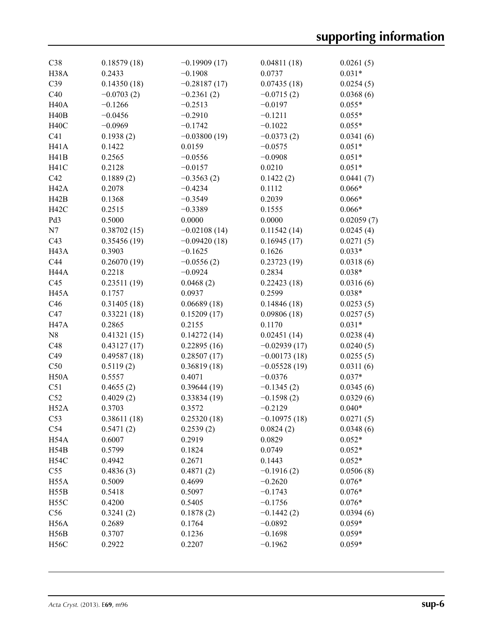| C38               | 0.18579(18)  | $-0.19909(17)$ | 0.04811(18)    | 0.0261(5)  |
|-------------------|--------------|----------------|----------------|------------|
| H38A              | 0.2433       | $-0.1908$      | 0.0737         | $0.031*$   |
| C39               | 0.14350(18)  | $-0.28187(17)$ | 0.07435(18)    | 0.0254(5)  |
| C40               | $-0.0703(2)$ | $-0.2361(2)$   | $-0.0715(2)$   | 0.0368(6)  |
| H <sub>40</sub> A | $-0.1266$    | $-0.2513$      | $-0.0197$      | $0.055*$   |
| H40B              | $-0.0456$    | $-0.2910$      | $-0.1211$      | $0.055*$   |
| H <sub>40</sub> C | $-0.0969$    | $-0.1742$      | $-0.1022$      | $0.055*$   |
| C <sub>41</sub>   | 0.1938(2)    | $-0.03800(19)$ | $-0.0373(2)$   | 0.0341(6)  |
| H <sub>41</sub> A | 0.1422       | 0.0159         | $-0.0575$      | $0.051*$   |
| H41B              | 0.2565       | $-0.0556$      | $-0.0908$      | $0.051*$   |
| H <sub>41</sub> C | 0.2128       | $-0.0157$      | 0.0210         | $0.051*$   |
| C42               | 0.1889(2)    | $-0.3563(2)$   | 0.1422(2)      | 0.0441(7)  |
| H <sub>42</sub> A | 0.2078       | $-0.4234$      | 0.1112         | $0.066*$   |
| H42B              | 0.1368       | $-0.3549$      | 0.2039         | $0.066*$   |
| H <sub>42</sub> C | 0.2515       | $-0.3389$      | 0.1555         | $0.066*$   |
| Pd3               | 0.5000       | 0.0000         | 0.0000         | 0.02059(7) |
| N7                | 0.38702(15)  | $-0.02108(14)$ | 0.11542(14)    | 0.0245(4)  |
| C43               | 0.35456(19)  | $-0.09420(18)$ | 0.16945(17)    | 0.0271(5)  |
| H <sub>43</sub> A | 0.3903       | $-0.1625$      | 0.1626         | $0.033*$   |
| C44               | 0.26070(19)  | $-0.0556(2)$   | 0.23723(19)    | 0.0318(6)  |
| H44A              | 0.2218       | $-0.0924$      | 0.2834         | $0.038*$   |
| C45               | 0.23511(19)  | 0.0468(2)      | 0.22423(18)    | 0.0316(6)  |
| H <sub>45</sub> A | 0.1757       | 0.0937         | 0.2599         | $0.038*$   |
| C46               | 0.31405(18)  | 0.06689(18)    | 0.14846(18)    | 0.0253(5)  |
| C47               | 0.33221(18)  | 0.15209(17)    | 0.09806(18)    | 0.0257(5)  |
| H <sub>47</sub> A | 0.2865       | 0.2155         | 0.1170         | $0.031*$   |
| N8                | 0.41321(15)  | 0.14272(14)    | 0.02451(14)    | 0.0238(4)  |
| C48               | 0.43127(17)  | 0.22895(16)    | $-0.02939(17)$ | 0.0240(5)  |
| C49               | 0.49587(18)  | 0.28507(17)    | $-0.00173(18)$ | 0.0255(5)  |
| C50               | 0.5119(2)    | 0.36819(18)    | $-0.05528(19)$ | 0.0311(6)  |
| H <sub>50</sub> A | 0.5557       | 0.4071         | $-0.0376$      | $0.037*$   |
| C51               | 0.4655(2)    | 0.39644(19)    | $-0.1345(2)$   | 0.0345(6)  |
| C52               | 0.4029(2)    | 0.33834(19)    | $-0.1598(2)$   | 0.0329(6)  |
| H52A              | 0.3703       | 0.3572         | $-0.2129$      | $0.040*$   |
| C53               | 0.38611(18)  | 0.25320(18)    | $-0.10975(18)$ | 0.0271(5)  |
| C <sub>54</sub>   | 0.5471(2)    | 0.2539(2)      | 0.0824(2)      | 0.0348(6)  |
| H54A              | 0.6007       | 0.2919         | 0.0829         | $0.052*$   |
| H54B              | 0.5799       | 0.1824         | 0.0749         | $0.052*$   |
| H54C              | 0.4942       | 0.2671         | 0.1443         | $0.052*$   |
| C55               | 0.4836(3)    | 0.4871(2)      | $-0.1916(2)$   | 0.0506(8)  |
| H <sub>55</sub> A | 0.5009       | 0.4699         | $-0.2620$      | $0.076*$   |
| H55B              | 0.5418       | 0.5097         | $-0.1743$      | $0.076*$   |
| H <sub>55C</sub>  | 0.4200       | 0.5405         | $-0.1756$      | $0.076*$   |
| C56               | 0.3241(2)    | 0.1878(2)      | $-0.1442(2)$   | 0.0394(6)  |
| H <sub>56</sub> A | 0.2689       | 0.1764         | $-0.0892$      | $0.059*$   |
| H56B              | 0.3707       | 0.1236         | $-0.1698$      | $0.059*$   |
| H <sub>56</sub> C | 0.2922       | 0.2207         | $-0.1962$      | $0.059*$   |
|                   |              |                |                |            |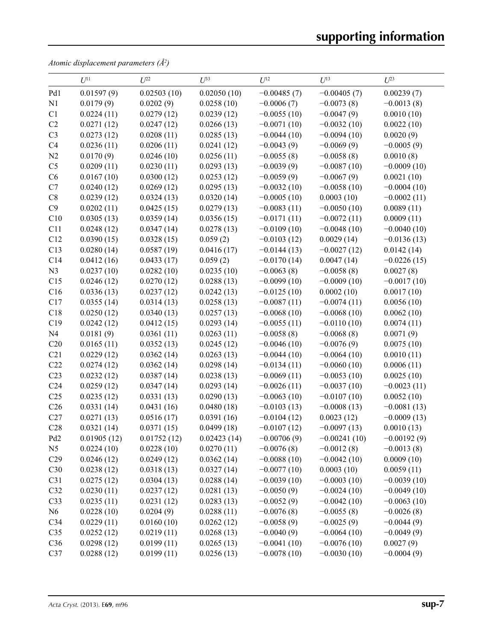*Atomic displacement parameters (Å2 )*

|                 | $U^{11}$    | $U^{22}$    | $U^{33}$    | $U^{12}$      | $U^{13}$       | $U^{23}$      |
|-----------------|-------------|-------------|-------------|---------------|----------------|---------------|
| Pd1             | 0.01597(9)  | 0.02503(10) | 0.02050(10) | $-0.00485(7)$ | $-0.00405(7)$  | 0.00239(7)    |
| N1              | 0.0179(9)   | 0.0202(9)   | 0.0258(10)  | $-0.0006(7)$  | $-0.0073(8)$   | $-0.0013(8)$  |
| C1              | 0.0224(11)  | 0.0279(12)  | 0.0239(12)  | $-0.0055(10)$ | $-0.0047(9)$   | 0.0010(10)    |
| C2              | 0.0271(12)  | 0.0247(12)  | 0.0266(13)  | $-0.0071(10)$ | $-0.0032(10)$  | 0.0022(10)    |
| C <sub>3</sub>  | 0.0273(12)  | 0.0208(11)  | 0.0285(13)  | $-0.0044(10)$ | $-0.0094(10)$  | 0.0020(9)     |
| C4              | 0.0236(11)  | 0.0206(11)  | 0.0241(12)  | $-0.0043(9)$  | $-0.0069(9)$   | $-0.0005(9)$  |
| N2              | 0.0170(9)   | 0.0246(10)  | 0.0256(11)  | $-0.0055(8)$  | $-0.0058(8)$   | 0.0010(8)     |
| C <sub>5</sub>  | 0.0209(11)  | 0.0230(11)  | 0.0293(13)  | $-0.0039(9)$  | $-0.0087(10)$  | $-0.0009(10)$ |
| C6              | 0.0167(10)  | 0.0300(12)  | 0.0253(12)  | $-0.0059(9)$  | $-0.0067(9)$   | 0.0021(10)    |
| C7              | 0.0240(12)  | 0.0269(12)  | 0.0295(13)  | $-0.0032(10)$ | $-0.0058(10)$  | $-0.0004(10)$ |
| C8              | 0.0239(12)  | 0.0324(13)  | 0.0320(14)  | $-0.0005(10)$ | 0.0003(10)     | $-0.0002(11)$ |
| C9              | 0.0202(11)  | 0.0425(15)  | 0.0279(13)  | $-0.0083(11)$ | $-0.0050(10)$  | 0.0089(11)    |
| C10             | 0.0305(13)  | 0.0359(14)  | 0.0356(15)  | $-0.0171(11)$ | $-0.0072(11)$  | 0.0009(11)    |
| C11             | 0.0248(12)  | 0.0347(14)  | 0.0278(13)  | $-0.0109(10)$ | $-0.0048(10)$  | $-0.0040(10)$ |
| C12             | 0.0390(15)  | 0.0328(15)  | 0.059(2)    | $-0.0103(12)$ | 0.0029(14)     | $-0.0136(13)$ |
| C13             | 0.0280(14)  | 0.0587(19)  | 0.0416(17)  | $-0.0144(13)$ | $-0.0027(12)$  | 0.0142(14)    |
| C14             | 0.0412(16)  | 0.0433(17)  | 0.059(2)    | $-0.0170(14)$ | 0.0047(14)     | $-0.0226(15)$ |
| N <sub>3</sub>  | 0.0237(10)  | 0.0282(10)  | 0.0235(10)  | $-0.0063(8)$  | $-0.0058(8)$   | 0.0027(8)     |
| C15             | 0.0246(12)  | 0.0270(12)  | 0.0288(13)  | $-0.0099(10)$ | $-0.0009(10)$  | $-0.0017(10)$ |
| C16             | 0.0336(13)  | 0.0237(12)  | 0.0242(13)  | $-0.0125(10)$ | 0.0002(10)     | 0.0017(10)    |
| C17             | 0.0355(14)  | 0.0314(13)  | 0.0258(13)  | $-0.0087(11)$ | $-0.0074(11)$  | 0.0056(10)    |
| C18             | 0.0250(12)  | 0.0340(13)  | 0.0257(13)  | $-0.0068(10)$ | $-0.0068(10)$  | 0.0062(10)    |
| C19             | 0.0242(12)  | 0.0412(15)  | 0.0293(14)  | $-0.0055(11)$ | $-0.0110(10)$  | 0.0074(11)    |
| N <sub>4</sub>  | 0.0181(9)   | 0.0361(11)  | 0.0263(11)  | $-0.0058(8)$  | $-0.0068(8)$   | 0.0071(9)     |
| C20             | 0.0165(11)  | 0.0352(13)  | 0.0245(12)  | $-0.0046(10)$ | $-0.0076(9)$   | 0.0075(10)    |
| C21             | 0.0229(12)  | 0.0362(14)  | 0.0263(13)  | $-0.0044(10)$ | $-0.0064(10)$  | 0.0010(11)    |
| C22             | 0.0274(12)  | 0.0362(14)  | 0.0298(14)  | $-0.0134(11)$ | $-0.0060(10)$  | 0.0006(11)    |
| C23             | 0.0232(12)  | 0.0387(14)  | 0.0238(13)  | $-0.0069(11)$ | $-0.0053(10)$  | 0.0025(10)    |
| C <sub>24</sub> | 0.0259(12)  | 0.0347(14)  | 0.0293(14)  | $-0.0026(11)$ | $-0.0037(10)$  | $-0.0023(11)$ |
| C <sub>25</sub> | 0.0235(12)  | 0.0331(13)  | 0.0290(13)  | $-0.0063(10)$ | $-0.0107(10)$  | 0.0052(10)    |
| C <sub>26</sub> | 0.0331(14)  | 0.0431(16)  | 0.0480(18)  | $-0.0103(13)$ | $-0.0008(13)$  | $-0.0081(13)$ |
| C27             | 0.0271(13)  | 0.0516(17)  | 0.0391(16)  | $-0.0104(12)$ | 0.0023(12)     | $-0.0009(13)$ |
| C28             | 0.0321(14)  | 0.0371(15)  | 0.0499(18)  | $-0.0107(12)$ | $-0.0097(13)$  | 0.0010(13)    |
| Pd <sub>2</sub> | 0.01905(12) | 0.01752(12) | 0.02423(14) | $-0.00706(9)$ | $-0.00241(10)$ | $-0.00192(9)$ |
| N <sub>5</sub>  | 0.0224(10)  | 0.0228(10)  | 0.0270(11)  | $-0.0076(8)$  | $-0.0012(8)$   | $-0.0013(8)$  |
| C29             | 0.0246(12)  | 0.0249(12)  | 0.0362(14)  | $-0.0088(10)$ | $-0.0042(10)$  | 0.0009(10)    |
| C30             | 0.0238(12)  | 0.0318(13)  | 0.0327(14)  | $-0.0077(10)$ | 0.0003(10)     | 0.0059(11)    |
| C31             | 0.0275(12)  | 0.0304(13)  | 0.0288(14)  | $-0.0039(10)$ | $-0.0003(10)$  | $-0.0039(10)$ |
| C32             | 0.0230(11)  | 0.0237(12)  | 0.0281(13)  | $-0.0050(9)$  | $-0.0024(10)$  | $-0.0049(10)$ |
| C33             | 0.0235(11)  | 0.0231(12)  | 0.0283(13)  | $-0.0052(9)$  | $-0.0042(10)$  | $-0.0063(10)$ |
| N <sub>6</sub>  | 0.0228(10)  | 0.0204(9)   | 0.0288(11)  | $-0.0076(8)$  | $-0.0055(8)$   | $-0.0026(8)$  |
| C <sub>34</sub> | 0.0229(11)  | 0.0160(10)  | 0.0262(12)  | $-0.0058(9)$  | $-0.0025(9)$   | $-0.0044(9)$  |
| C <sub>35</sub> | 0.0252(12)  | 0.0219(11)  | 0.0268(13)  | $-0.0040(9)$  | $-0.0064(10)$  | $-0.0049(9)$  |
| C36             | 0.0298(12)  | 0.0199(11)  | 0.0265(13)  | $-0.0041(10)$ | $-0.0076(10)$  | 0.0027(9)     |
| C37             | 0.0288(12)  | 0.0199(11)  | 0.0256(13)  | $-0.0078(10)$ | $-0.0030(10)$  | $-0.0004(9)$  |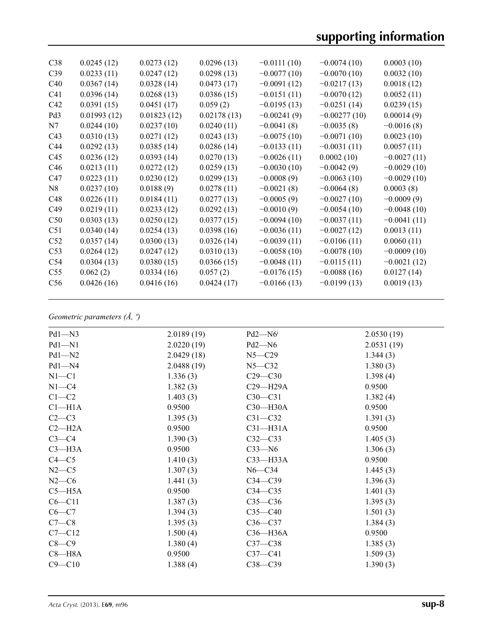| C38             | 0.0245(12)  | 0.0273(12)  | 0.0296(13)  | $-0.0111(10)$ | $-0.0074(10)$  | 0.0003(10)    |
|-----------------|-------------|-------------|-------------|---------------|----------------|---------------|
| C39             | 0.0233(11)  | 0.0247(12)  | 0.0298(13)  | $-0.0077(10)$ | $-0.0070(10)$  | 0.0032(10)    |
| C40             | 0.0367(14)  | 0.0328(14)  | 0.0473(17)  | $-0.0091(12)$ | $-0.0217(13)$  | 0.0018(12)    |
| C <sub>41</sub> | 0.0396(14)  | 0.0268(13)  | 0.0386(15)  | $-0.0151(11)$ | $-0.0070(12)$  | 0.0052(11)    |
| C42             | 0.0391(15)  | 0.0451(17)  | 0.059(2)    | $-0.0195(13)$ | $-0.0251(14)$  | 0.0239(15)    |
| Pd <sub>3</sub> | 0.01993(12) | 0.01823(12) | 0.02178(13) | $-0.00241(9)$ | $-0.00277(10)$ | 0.00014(9)    |
| N7              | 0.0244(10)  | 0.0237(10)  | 0.0240(11)  | $-0.0041(8)$  | $-0.0035(8)$   | $-0.0016(8)$  |
| C <sub>43</sub> | 0.0310(13)  | 0.0271(12)  | 0.0243(13)  | $-0.0075(10)$ | $-0.0071(10)$  | 0.0023(10)    |
| C <sub>44</sub> | 0.0292(13)  | 0.0385(14)  | 0.0286(14)  | $-0.0133(11)$ | $-0.0031(11)$  | 0.0057(11)    |
| C <sub>45</sub> | 0.0236(12)  | 0.0393(14)  | 0.0270(13)  | $-0.0026(11)$ | 0.0002(10)     | $-0.0027(11)$ |
| C46             | 0.0213(11)  | 0.0272(12)  | 0.0259(13)  | $-0.0030(10)$ | $-0.0042(9)$   | $-0.0029(10)$ |
| C47             | 0.0223(11)  | 0.0230(12)  | 0.0299(13)  | $-0.0008(9)$  | $-0.0063(10)$  | $-0.0029(10)$ |
| N8              | 0.0237(10)  | 0.0188(9)   | 0.0278(11)  | $-0.0021(8)$  | $-0.0064(8)$   | 0.0003(8)     |
| C48             | 0.0226(11)  | 0.0184(11)  | 0.0277(13)  | $-0.0005(9)$  | $-0.0027(10)$  | $-0.0009(9)$  |
| C49             | 0.0219(11)  | 0.0233(12)  | 0.0292(13)  | $-0.0010(9)$  | $-0.0054(10)$  | $-0.0048(10)$ |
| C50             | 0.0303(13)  | 0.0250(12)  | 0.0377(15)  | $-0.0094(10)$ | $-0.0037(11)$  | $-0.0041(11)$ |
| C51             | 0.0340(14)  | 0.0254(13)  | 0.0398(16)  | $-0.0036(11)$ | $-0.0027(12)$  | 0.0013(11)    |
| C <sub>52</sub> | 0.0357(14)  | 0.0300(13)  | 0.0326(14)  | $-0.0039(11)$ | $-0.0106(11)$  | 0.0060(11)    |
| C <sub>53</sub> | 0.0264(12)  | 0.0247(12)  | 0.0310(13)  | $-0.0058(10)$ | $-0.0078(10)$  | $-0.0009(10)$ |
| C <sub>54</sub> | 0.0304(13)  | 0.0380(15)  | 0.0366(15)  | $-0.0048(11)$ | $-0.0115(11)$  | $-0.0021(12)$ |
| C <sub>55</sub> | 0.062(2)    | 0.0334(16)  | 0.057(2)    | $-0.0176(15)$ | $-0.0088(16)$  | 0.0127(14)    |
| C56             | 0.0426(16)  | 0.0416(16)  | 0.0424(17)  | $-0.0166(13)$ | $-0.0199(13)$  | 0.0019(13)    |
|                 |             |             |             |               |                |               |

# *Geometric parameters (Å, º)*

| $Pd1 - N3$         | 2.0189(19) | $Pd2 - N6$   | 2.0530(19)  |
|--------------------|------------|--------------|-------------|
| $Pd1 - N1$         | 2.0220(19) | $Pd2 - N6$   | 2.0531(19)  |
| $Pd1 - N2$         | 2.0429(18) | $N5 - C29$   | 1.344(3)    |
| $Pd1 - N4$         | 2.0488(19) | $N5 - C32$   | 1.380(3)    |
| $N1 - C1$          | 1.336(3)   | $C29 - C30$  | 1.398(4)    |
| $N1 - C4$          | 1.382(3)   | $C29 - H29A$ | 0.9500      |
| $C1 - C2$          | 1.403(3)   | $C30 - C31$  | 1.382(4)    |
| Cl <sub>–H1A</sub> | 0.9500     | $C30$ —H30A  | 0.9500      |
| $C2-C3$            | 1.395(3)   | $C31 - C32$  | 1.391(3)    |
| $C2 - H2A$         | 0.9500     | $C31-H31A$   | 0.9500      |
| $C3-C4$            | 1.390(3)   | $C32-C33$    | 1.405(3)    |
| $C3$ —H3A          | 0.9500     | $C33 - N6$   | 1.306(3)    |
| $C4 - C5$          | 1.410(3)   | $C33$ —H33A  | 0.9500      |
| $N2-C5$            | 1.307(3)   | $N6 - C34$   | 1.445(3)    |
| $N2-C6$            | 1.441(3)   | $C34 - C39$  | 1.396(3)    |
| $C5 - H5A$         | 0.9500     | $C34 - C35$  | 1.401 $(3)$ |
| $C6 - C11$         | 1.387(3)   | $C35-C36$    | 1.395(3)    |
| $C6-C7$            | 1.394(3)   | $C35 - C40$  | 1.501(3)    |
| $C7-C8$            | 1.395(3)   | $C36-C37$    | 1.384(3)    |
| $C7 - C12$         | 1.500(4)   | $C36 - H36A$ | 0.9500      |
| $C8-C9$            | 1.380(4)   | $C37-C38$    | 1.385(3)    |
| $C8 - H8A$         | 0.9500     | $C37 - C41$  | 1.509(3)    |
| $C9 - C10$         | 1.388(4)   | $C38 - C39$  | 1.390(3)    |
|                    |            |              |             |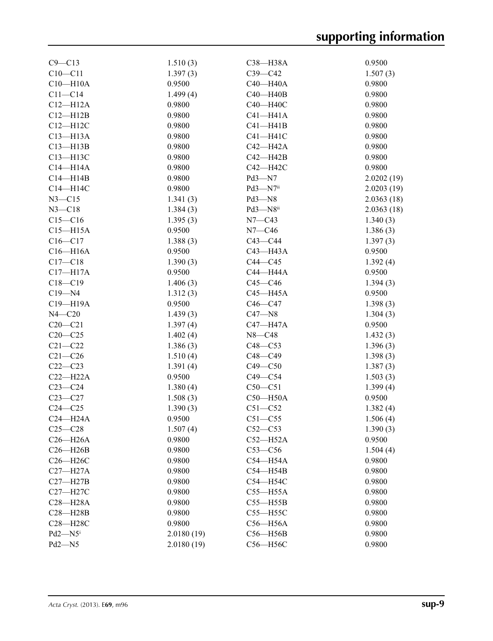| $C9 - C13$                         | 1.510(3)   | C38-H38A                 | 0.9500     |
|------------------------------------|------------|--------------------------|------------|
| $C10 - C11$                        | 1.397(3)   | $C39 - C42$              | 1.507(3)   |
| $C10 - H10A$                       | 0.9500     | $C40 - H40A$             | 0.9800     |
| $C11 - C14$                        | 1.499(4)   | $C40 - H40B$             | 0.9800     |
| $C12 - H12A$                       | 0.9800     | C40-H40C                 | 0.9800     |
| $C12 - H12B$                       | 0.9800     | $C41 - H41A$             | 0.9800     |
| $C12 - H12C$                       | 0.9800     | $C41 - H41B$             | 0.9800     |
| $C13 - H13A$                       | 0.9800     | $C41 - H41C$             | 0.9800     |
| $C13 - H13B$                       | 0.9800     | $C42 - H42A$             | 0.9800     |
| C13-H13C                           | 0.9800     | $C42 - H42B$             | 0.9800     |
| $C14 - H14A$                       | 0.9800     | C42-H42C                 | 0.9800     |
| $C14 - H14B$                       | 0.9800     | Pd3-N7                   | 2.0202(19) |
| $C14 - H14C$                       | 0.9800     | $Pd3 - N7$ <sup>ii</sup> | 2.0203(19) |
| $N3 - C15$                         | 1.341(3)   | $Pd3 - N8$               | 2.0363(18) |
| $N3 - C18$                         | 1.384(3)   | $Pd3 - N8$ <sup>ii</sup> | 2.0363(18) |
| $C15 - C16$                        | 1.395(3)   | $N7 - C43$               | 1.340(3)   |
| $C15 - H15A$                       | 0.9500     | $N7 - C46$               | 1.386(3)   |
| $C16 - C17$                        | 1.388(3)   | $C43-C44$                | 1.397(3)   |
| $C16 - H16A$                       | 0.9500     | C43-H43A                 | 0.9500     |
| $C17 - C18$                        | 1.390(3)   | $C44-C45$                | 1.392(4)   |
| $C17 - H17A$                       | 0.9500     | C44-H44A                 | 0.9500     |
| $C18 - C19$                        | 1.406(3)   | $C45-C46$                | 1.394(3)   |
| $C19 - N4$                         | 1.312(3)   | $C45 - H45A$             | 0.9500     |
| C19-H19A                           | 0.9500     | $C46-C47$                | 1.398(3)   |
| $N4 - C20$                         | 1.439(3)   | $C47 - N8$               | 1.304(3)   |
| $C20 - C21$                        | 1.397(4)   | C47-H47A                 | 0.9500     |
| $C20-C25$                          | 1.402(4)   | $N8 - C48$               | 1.432(3)   |
| $C21 - C22$                        | 1.386(3)   | $C48 - C53$              | 1.396(3)   |
| $C21 - C26$                        | 1.510(4)   | $C48 - C49$              | 1.398(3)   |
| $C22-C23$                          | 1.391(4)   | $C49 - C50$              | 1.387(3)   |
| $C22-H22A$                         | 0.9500     | $C49 - C54$              | 1.503(3)   |
| $C23-C24$                          | 1.380(4)   | $C50-C51$                | 1.399(4)   |
| $C23 - C27$                        | 1.508(3)   | $C50 - H50A$             | 0.9500     |
| $C24 - C25$                        | 1.390(3)   | $C51 - C52$              | 1.382(4)   |
| $C24 - H24A$                       | 0.9500     | $C51 - C55$              | 1.506(4)   |
| $C25-C28$                          | 1.507(4)   | $C52-C53$                | 1.390(3)   |
| $C26 - H26A$                       | 0.9800     | $C52 - H52A$             | 0.9500     |
| $C26 - H26B$                       | 0.9800     | $C53-C56$                | 1.504(4)   |
| C <sub>26</sub> -H <sub>26</sub> C | 0.9800     | $C54 - H54A$             | 0.9800     |
| $C27 - H27A$                       | 0.9800     | $C54 - H54B$             | 0.9800     |
| $C27 - H27B$                       | 0.9800     | C54-H54C                 | 0.9800     |
| C27-H27C                           | 0.9800     | $C55 - H55A$             | 0.9800     |
| $C28 - H28A$                       | 0.9800     | $C55 - H55B$             | 0.9800     |
| $C28 - H28B$                       | 0.9800     | $C55 - H55C$             | 0.9800     |
| C28-H28C                           | 0.9800     | C56-H56A                 | 0.9800     |
| $Pd2 - N5$                         | 2.0180(19) | $C56 - H56B$             | 0.9800     |
| Pd2-N5                             | 2.0180(19) | C56-H56C                 | 0.9800     |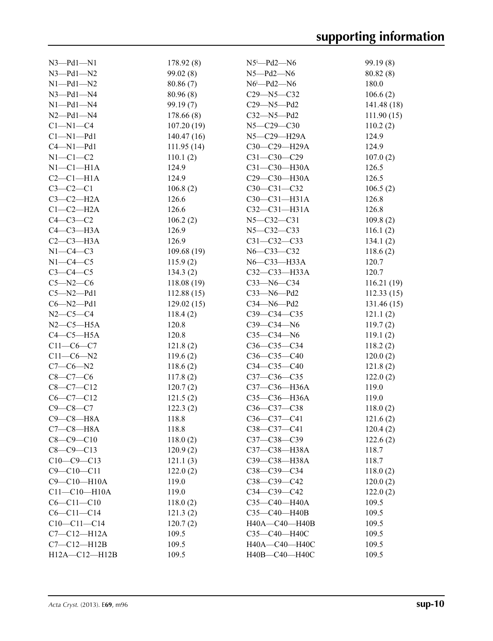| $N3$ -Pd1- $N1$    | 178.92(8)  | $N5^i$ -Pd2- $N6$            | 99.19 (8)  |
|--------------------|------------|------------------------------|------------|
| $N3$ -Pd1- $N2$    | 99.02 (8)  | $N5 - Pd2 - N6$              | 80.82(8)   |
| $N1 - Pd1 - N2$    | 80.86(7)   | $N6$ <sup>i</sup> -Pd2- $N6$ | 180.0      |
| $N3$ -Pd1- $N4$    | 80.96(8)   | $C29 - N5 - C32$             | 106.6(2)   |
| $N1 - Pd1 - N4$    | 99.19(7)   | $C29 - N5 - Pd2$             | 141.48(18) |
| $N2$ -Pd1- $N4$    | 178.66(8)  | $C32 - N5 - Pd2$             | 111.90(15) |
| $C1 - N1 - C4$     | 107.20(19) | $N5 - C29 - C30$             | 110.2(2)   |
| $Cl-M1-Pd1$        | 140.47(16) | N5-C29-H29A                  | 124.9      |
| $C4 - N1 - Pd1$    | 111.95(14) | $C30-C29-H29A$               | 124.9      |
| $N1-C1-C2$         | 110.1(2)   | $C31 - C30 - C29$            | 107.0(2)   |
| $N1-C1-H1A$        | 124.9      | C31-C30-H30A                 | 126.5      |
| $C2-C1-H1A$        | 124.9      | C29-C30-H30A                 | 126.5      |
| $C3-C2-C1$         | 106.8(2)   | C30-C31-C32                  | 106.5(2)   |
| $C3-C2-H2A$        | 126.6      | $C30-C31-H31A$               | 126.8      |
| $C1-C2-H2A$        | 126.6      | $C32-C31-H31A$               | 126.8      |
| $C4-C3-C2$         | 106.2(2)   | $N5 - C32 - C31$             | 109.8(2)   |
| $C4-C3-H3A$        | 126.9      | $N5 - C32 - C33$             | 116.1(2)   |
| $C2-C3-H3A$        | 126.9      | $C31 - C32 - C33$            | 134.1(2)   |
| $N1-C4-C3$         | 109.68(19) | N6-C33-C32                   | 118.6(2)   |
| $N1-C4-C5$         | 115.9(2)   | N6-C33-H33A                  | 120.7      |
| $C3-C4-C5$         | 134.3(2)   | $C32 - C33 - H33A$           | 120.7      |
| $C5 - N2 - C6$     | 118.08(19) | $C33 - N6 - C34$             | 116.21(19) |
| $C5 - N2 - Pd1$    | 112.88(15) | $C33 - N6 - Pd2$             | 112.33(15) |
| $C6 - N2 - Pd1$    | 129.02(15) | $C34 - N6 - Pd2$             | 131.46(15) |
| $N2 - C5 - C4$     | 118.4(2)   | $C39 - C34 - C35$            | 121.1(2)   |
| $N2-C5-H5A$        | 120.8      | $C39 - C34 - N6$             | 119.7(2)   |
| $C4-C5-H5A$        | 120.8      | $C35-C34-N6$                 | 119.1(2)   |
| $C11-C6-C7$        | 121.8(2)   | $C36 - C35 - C34$            | 118.2(2)   |
| $C11-C6-N2$        | 119.6(2)   | $C36-C35-C40$                | 120.0(2)   |
| $C7-C6-N2$         | 118.6(2)   | $C34 - C35 - C40$            | 121.8(2)   |
| $C8-C7-C6$         | 117.8(2)   | $C37 - C36 - C35$            | 122.0(2)   |
| $C8-C7-C12$        | 120.7(2)   | C37-C36-H36A                 | 119.0      |
| $C6-C7-C12$        | 121.5(2)   | C35-C36-H36A                 | 119.0      |
| $C9 - C8 - C7$     | 122.3(2)   | C36-C37-C38                  | 118.0(2)   |
| $C9-C8-H8A$        | 118.8      | $C36-C37-C41$                | 121.6(2)   |
| $C7-C8-H8A$        | 118.8      | $C38 - C37 - C41$            | 120.4(2)   |
| $C8 - C9 - C10$    | 118.0(2)   | C37-C38-C39                  | 122.6(2)   |
| $C8 - C9 - C13$    | 120.9(2)   | C37-C38-H38A                 | 118.7      |
| $C10-C9-C13$       | 121.1(3)   | СЗ9-СЗ8-НЗ8А                 | 118.7      |
| $C9 - C10 - C11$   | 122.0(2)   | $C38-C39-C34$                | 118.0(2)   |
| C9-C10-H10A        | 119.0      | $C38-C39-C42$                | 120.0(2)   |
| $C11 - C10 - H10A$ | 119.0      | $C34 - C39 - C42$            | 122.0(2)   |
| $C6 - C11 - C10$   | 118.0(2)   | C35-C40-H40A                 | 109.5      |
| $C6 - C11 - C14$   | 121.3(2)   | C35-C40-H40B                 | 109.5      |
| $C10-C11-C14$      | 120.7(2)   | H40A-C40-H40B                | 109.5      |
| $C7-C12-H12A$      | 109.5      | СЗ5-С40-Н40С                 | 109.5      |
| $C7-C12-H12B$      | 109.5      | H40A-C40-H40C                | 109.5      |
| H12A-C12-H12B      | 109.5      | H40B-C40-H40C                | 109.5      |
|                    |            |                              |            |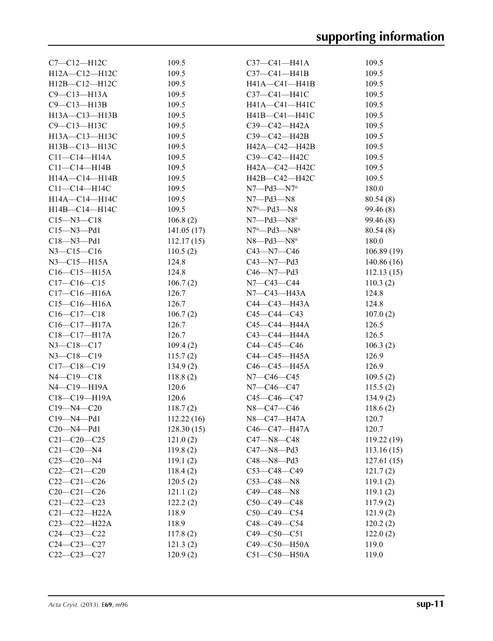| $C7-C12-H12C$       | 109.5      | $C37 - C41 - H41A$                | 109.5      |
|---------------------|------------|-----------------------------------|------------|
| $H12A - C12 - H12C$ | 109.5      | $C37 - C41 - H41B$                | 109.5      |
| $H12B - C12 - H12C$ | 109.5      | H41A-C41-H41B                     | 109.5      |
| C9-C13-H13A         | 109.5      | C37-C41-H41C                      | 109.5      |
| $C9 - C13 - H13B$   | 109.5      | H41A-C41-H41C                     | 109.5      |
| H13A-C13-H13B       | 109.5      | H41B-C41-H41C                     | 109.5      |
| C9-C13-H13C         | 109.5      | C39—C42—H42A                      | 109.5      |
| $H13A - C13 - H13C$ | 109.5      | $C39 - C42 - H42B$                | 109.5      |
| $H13B - C13 - H13C$ | 109.5      | H42A—C42—H42B                     | 109.5      |
| $C11 - C14 - H14A$  | 109.5      | C39-C42-H42C                      | 109.5      |
| $C11-C14-H14B$      | 109.5      | H42A-C42-H42C                     | 109.5      |
| $H14A - C14 - H14B$ | 109.5      | H42B-C42-H42C                     | 109.5      |
| $C11 - C14 - H14C$  | 109.5      | $N7 - Pd3 - N7$ <sup>ii</sup>     | 180.0      |
| H14A-C14-H14C       | 109.5      | N7—Pd3—N8                         | 80.54(8)   |
| $H14B - C14 - H14C$ | 109.5      | $N7^{ii}$ — $Pd3$ — $N8$          | 99.46(8)   |
| $C15 - N3 - C18$    | 106.8(2)   | $N7$ — $Pd3$ — $N8$ <sup>ii</sup> | 99.46(8)   |
|                     | 141.05(17) |                                   |            |
| $C15 - N3 - Pd1$    |            | $N7^{ii}$ — $Pd3$ — $N8^{ii}$     | 80.54(8)   |
| $C18 - N3 - Pd1$    | 112.17(15) | N8—Pd3—N8 <sup>ii</sup>           | 180.0      |
| $N3 - C15 - C16$    | 110.5(2)   | C43—N7—C46                        | 106.89(19) |
| $N3$ –C15–H15A      | 124.8      | C43—N7—Pd3                        | 140.86(16) |
| $C16 - C15 - H15A$  | 124.8      | C46—N7—Pd3                        | 112.13(15) |
| $C17-C16-C15$       | 106.7(2)   | N7—C43—C44                        | 110.3(2)   |
| $C17 - C16 - H16A$  | 126.7      | N7—C43—H43A                       | 124.8      |
| $C15-C16-H16A$      | 126.7      | $C44 - C43 - H43A$                | 124.8      |
| $C16-C17-C18$       | 106.7(2)   | $C45-C44-C43$                     | 107.0(2)   |
| $C16 - C17 - H17A$  | 126.7      | C45-C44-H44A                      | 126.5      |
| C18-C17-H17A        | 126.7      | С43—С44—Н44А                      | 126.5      |
| $N3 - C18 - C17$    | 109.4(2)   | $C44 - C45 - C46$                 | 106.3(2)   |
| $N3 - C18 - C19$    | 115.7(2)   | C44—C45—H45A                      | 126.9      |
| $C17 - C18 - C19$   | 134.9(2)   | $C46 - C45 - H45A$                | 126.9      |
| $N4 - C19 - C18$    | 118.8(2)   | N7—C46—C45                        | 109.5(2)   |
| N4-C19-H19A         | 120.6      | N7—C46—C47                        | 115.5(2)   |
| C18-C19-H19A        | 120.6      | C45—C46—C47                       | 134.9(2)   |
| $C19 - N4 - C20$    | 118.7(2)   | N8-C47-C46                        | 118.6(2)   |
| C19—N4—Pd1          | 112.22(16) | N8-C47-H47A                       | 120.7      |
| $C20$ —N4—Pd1       | 128.30(15) | C46-C47-H47A                      | 120.7      |
| $C21 - C20 - C25$   | 121.0(2)   | C47-N8-C48                        | 119.22(19) |
| $C21 - C20 - N4$    | 119.8(2)   | $C47 - N8 - Pd3$                  | 113.16(15) |
| $C25-C20-N4$        | 119.1(2)   | $C48 - N8 - Pd3$                  | 127.61(15) |
| $C22-C21-C20$       | 118.4(2)   | $C53-C48-C49$                     | 121.7(2)   |
| $C22-C21-C26$       | 120.5(2)   | $C53 - C48 - N8$                  | 119.1(2)   |
| $C20-C21-C26$       | 121.1(2)   | C49—C48—N8                        | 119.1(2)   |
| $C21 - C22 - C23$   | 122.2(2)   | $C50-C49-C48$                     | 117.9(2)   |
| $C21 - C22 - H22A$  | 118.9      | $C50-C49-C54$                     | 121.9(2)   |
| C23-C22-H22A        | 118.9      | C48-C49-C54                       | 120.2(2)   |
| $C24 - C23 - C22$   | 117.8(2)   | $C49 - C50 - C51$                 | 122.0(2)   |
| $C24 - C23 - C27$   | 121.3(2)   | C49-C50-H50A                      | 119.0      |
| $C22-C23-C27$       | 120.9(2)   | C51-C50-H50A                      | 119.0      |
|                     |            |                                   |            |